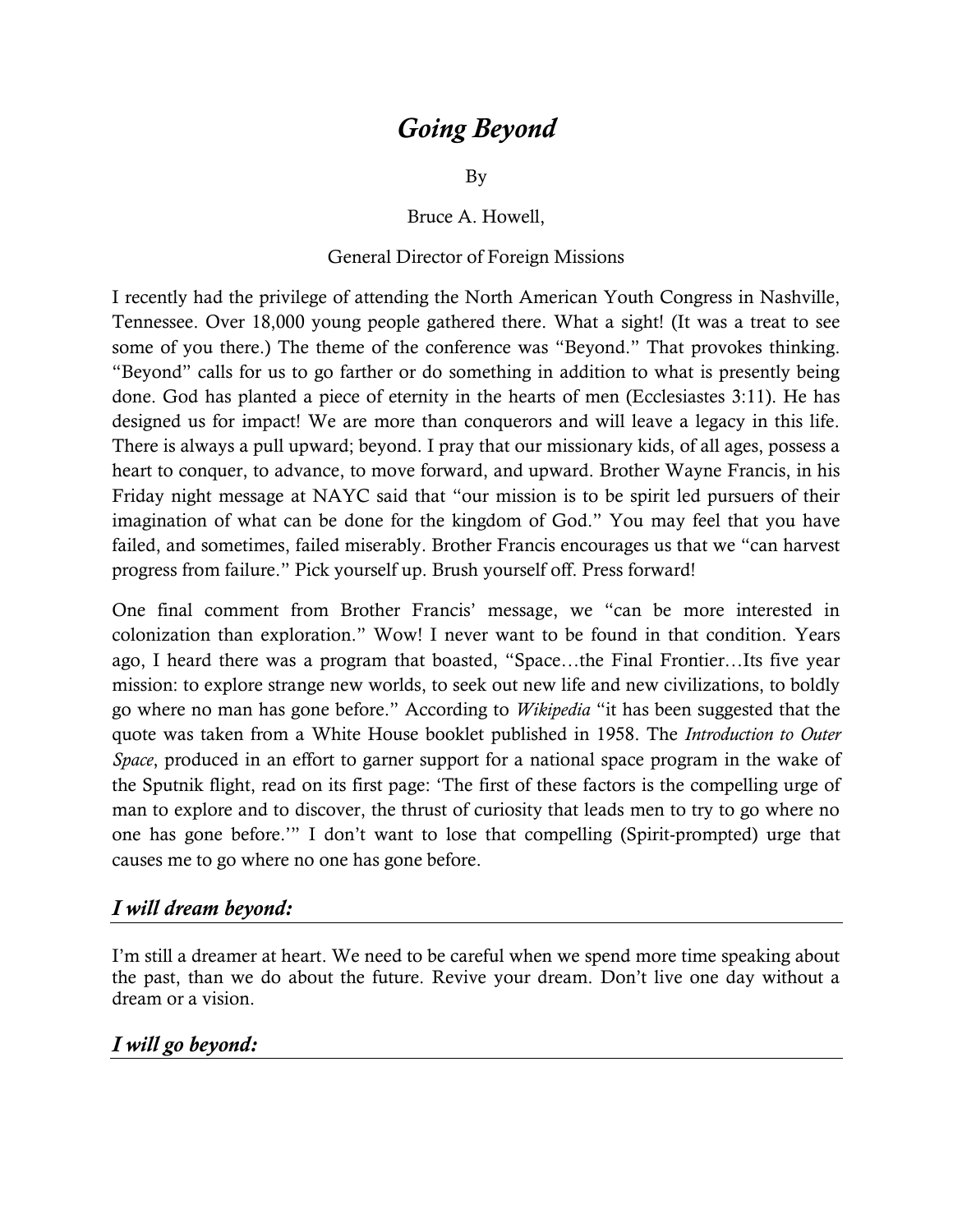# *Going Beyond*

By

Bruce A. Howell,

#### General Director of Foreign Missions

I recently had the privilege of attending the North American Youth Congress in Nashville, Tennessee. Over 18,000 young people gathered there. What a sight! (It was a treat to see some of you there.) The theme of the conference was "Beyond." That provokes thinking. "Beyond" calls for us to go farther or do something in addition to what is presently being done. God has planted a piece of eternity in the hearts of men (Ecclesiastes 3:11). He has designed us for impact! We are more than conquerors and will leave a legacy in this life. There is always a pull upward; beyond. I pray that our missionary kids, of all ages, possess a heart to conquer, to advance, to move forward, and upward. Brother Wayne Francis, in his Friday night message at NAYC said that "our mission is to be spirit led pursuers of their imagination of what can be done for the kingdom of God." You may feel that you have failed, and sometimes, failed miserably. Brother Francis encourages us that we "can harvest progress from failure." Pick yourself up. Brush yourself off. Press forward!

One final comment from Brother Francis" message, we "can be more interested in colonization than exploration." Wow! I never want to be found in that condition. Years ago, I heard there was a program that boasted, "Space…the Final Frontier…Its five year mission: to explore strange new worlds, to seek out new life and new civilizations, to boldly go where no man has gone before." According to *Wikipedia* "it has been suggested that the quote was taken from a [White House](http://en.wikipedia.org/wiki/White_House) booklet published in 1958. The *Introduction to Outer Space*, produced in an effort to garner support for a [national space program](http://en.wikipedia.org/wiki/NASA) in the wake of the [Sputnik](http://en.wikipedia.org/wiki/Sputnik) flight, read on its first page: "The first of these factors is the compelling urge of man to explore and to discover, the thrust of curiosity that leads men to try to go where no one has gone before."" I don"t want to lose that compelling (Spirit-prompted) urge that causes me to go where no one has gone before.

#### *I will dream beyond:*

I'm still a dreamer at heart. We need to be careful when we spend more time speaking about the past, than we do about the future. Revive your dream. Don"t live one day without a dream or a vision.

### *I will go beyond:*